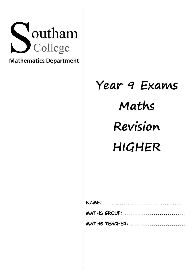

**Mathematics Department**

# **Year 9 Exams Maths Revision HIGHER**

| MATHS GROUP:   |  |  |  |  |  |
|----------------|--|--|--|--|--|
| MATHS TEACHER: |  |  |  |  |  |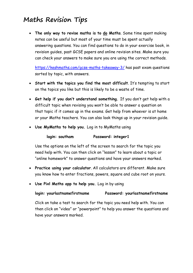# **Maths Revision Tips**

• **The only way to revise maths is to do Maths**. Some time spent making notes can be useful but most of your time must be spent actually answering questions. You can find questions to do in your exercise book, in revision guides, past GCSE papers and online revision sites. Make sure you can check your answers to make sure you are using the correct methods.

https://keshmaths.com/gcse-maths-takeaway-3/ has past exam questions sorted by topic, with answers.

- **Start with the topics you find the most difficult**. It's tempting to start on the topics you like but this is likely to be a waste of time.
- **Get help if you don't understand something.** If you don't get help with a difficult topic when revising you won't be able to answer a question on that topic if it comes up in the exams. Get help from whoever is at home or your Maths teachers. You can also look things up in your revision guide.
- **Use MyMaths to help you.** Log in to MyMaths using

# **login: southam Password: integer1**

Use the options on the left of the screen to search for the topic you need help with. You can then click on "lesson" to learn about a topic or "online homework" to answer questions and have your answers marked.

- **Practice using your calculator**. All calculators are different. Make sure you know how to enter fractions, powers, square and cube root on yours.
- **Use Pixl Maths app to help you.** Log in by using

# **login: yourlastnamefirstname Password: yourlastnamefirstname**

Click on take a test to search for the topic you need help with. You can then click on "video" or "powerpoint" to help you answer the questions and have your answers marked.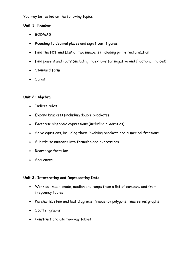You may be tested on the following topics:

#### **Unit 1: Number**

- BODMAS
- Rounding to decimal places and significant figures
- Find the HCF and LCM of two numbers (including prime factorisation)
- Find powers and roots (including index laws for negative and fractional indices)
- Standard form
- Surds

#### **Unit 2: Algebra**

- Indices rules
- Expand brackets (including double brackets)
- Factorise algebraic expressions (including quadratics)
- Solve equations, including those involving brackets and numerical fractions
- Substitute numbers into formulae and expressions
- Rearrange formulae
- Sequences

# **Unit 3: Interpreting and Representing Data**

- Work out mean, mode, median and range from a list of numbers and from frequency tables
- Pie charts, stem and leaf diagrams, frequency polygons, time series graphs
- Scatter graphs
- Construct and use two-way tables